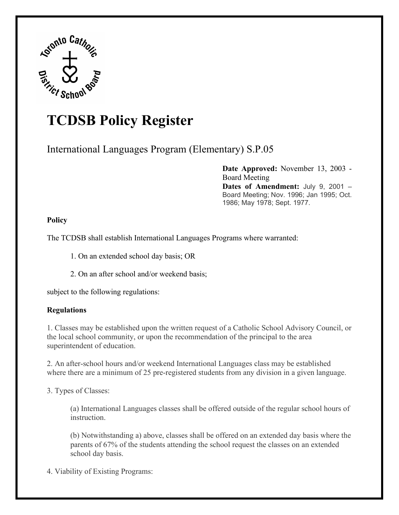

# **TCDSB Policy Register**

International Languages Program (Elementary) S.P.05

**Date Approved:** November 13, 2003 - Board Meeting **Dates of Amendment:** July 9, 2001 – Board Meeting; Nov. 1996; Jan 1995; Oct. 1986; May 1978; Sept. 1977.

## **Policy**

The TCDSB shall establish International Languages Programs where warranted:

1. On an extended school day basis; OR

2. On an after school and/or weekend basis;

subject to the following regulations:

## **Regulations**

1. Classes may be established upon the written request of a Catholic School Advisory Council, or the local school community, or upon the recommendation of the principal to the area superintendent of education.

2. An after-school hours and/or weekend International Languages class may be established where there are a minimum of 25 pre-registered students from any division in a given language.

3. Types of Classes:

(a) International Languages classes shall be offered outside of the regular school hours of instruction.

(b) Notwithstanding a) above, classes shall be offered on an extended day basis where the parents of 67% of the students attending the school request the classes on an extended school day basis.

4. Viability of Existing Programs: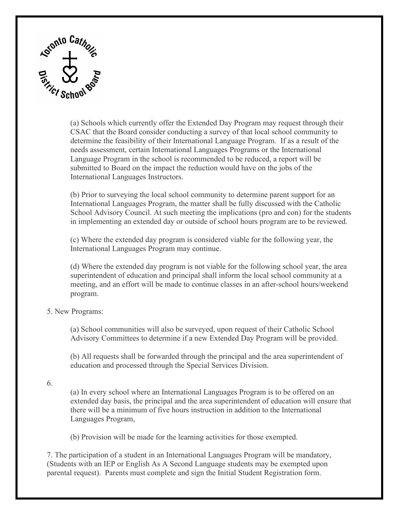

(a) Schools which currently offer the Extended Day Program may request through their CSAC that the Board consider conducting a survey of that local school community to determine the feasibility of their International Language Program. If as a result of the needs assessment, certain International Languages Programs or the International Language Program in the school is recommended to be reduced, a report will be submitted to Board on the impact the reduction would have on the jobs of the International Languages Instructors.

(b) Prior to surveying the local school community to determine parent support for an International Languages Program, the matter shall be fully discussed with the Catholic School Advisory Council. At such meeting the implications (pro and con) for the students in implementing an extended day or outside of school hours program are to be reviewed.

(c) Where the extended day program is considered viable for the following year, the International Languages Program may continue.

(d) Where the extended day program is not viable for the following school year, the area superintendent of education and principal shall inform the local school community at a meeting, and an effort will be made to continue classes in an after-school hours/weekend program.

#### 5. New Programs:

(a) School communities will also be surveyed, upon request of their Catholic School Advisory Committees to determine if a new Extended Day Program will be provided.

(b) All requests shall be forwarded through the principal and the area superintendent of education and processed through the Special Services Division.

6.

(a) In every school where an International Languages Program is to be offered on an extended day basis, the principal and the area superintendent of education will ensure that there will be a minimum of five hours instruction in addition to the International Languages Program,

(b) Provision will be made for the learning activities for those exempted.

7. The participation of a student in an International Languages Program will be mandatory, (Students with an IEP or English As A Second Language students may be exempted upon parental request). Parents must complete and sign the Initial Student Registration form.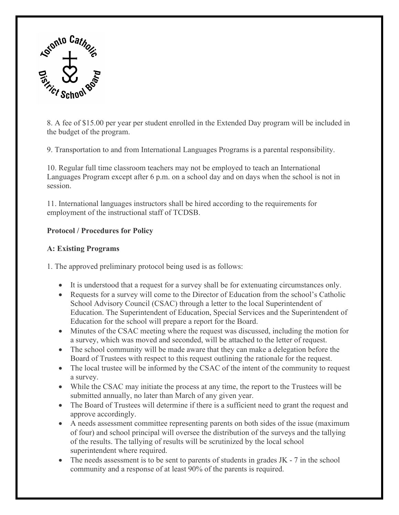

8. A fee of \$15.00 per year per student enrolled in the Extended Day program will be included in the budget of the program.

9. Transportation to and from International Languages Programs is a parental responsibility.

10. Regular full time classroom teachers may not be employed to teach an International Languages Program except after 6 p.m. on a school day and on days when the school is not in session.

11. International languages instructors shall be hired according to the requirements for employment of the instructional staff of TCDSB.

# **Protocol / Procedures for Policy**

## **A: Existing Programs**

1. The approved preliminary protocol being used is as follows:

- It is understood that a request for a survey shall be for extenuating circumstances only.
- Requests for a survey will come to the Director of Education from the school's Catholic School Advisory Council (CSAC) through a letter to the local Superintendent of Education. The Superintendent of Education, Special Services and the Superintendent of Education for the school will prepare a report for the Board.
- Minutes of the CSAC meeting where the request was discussed, including the motion for a survey, which was moved and seconded, will be attached to the letter of request.
- The school community will be made aware that they can make a delegation before the Board of Trustees with respect to this request outlining the rationale for the request.
- The local trustee will be informed by the CSAC of the intent of the community to request a survey.
- While the CSAC may initiate the process at any time, the report to the Trustees will be submitted annually, no later than March of any given year.
- The Board of Trustees will determine if there is a sufficient need to grant the request and approve accordingly.
- A needs assessment committee representing parents on both sides of the issue (maximum of four) and school principal will oversee the distribution of the surveys and the tallying of the results. The tallying of results will be scrutinized by the local school superintendent where required.
- The needs assessment is to be sent to parents of students in grades JK 7 in the school community and a response of at least 90% of the parents is required.